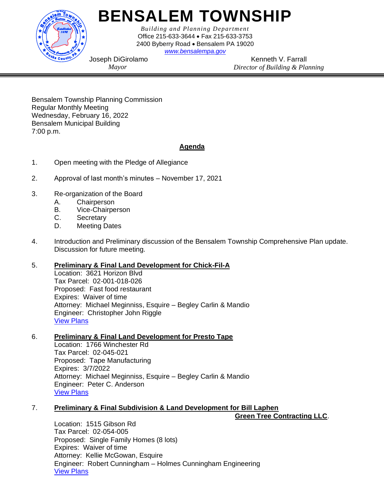

# **BENSALEM TOWNSHIP**

*Building and Planning Department* Office 215-633-3644 • Fax 215-633-3753 2400 Byberry Road • Bensalem PA 19020

*[www.bensalempa.gov](http://www.bensalemtwp.org/)*

Joseph DiGirolamo *Mayor*

Kenneth V. Farrall *Director of Building & Planning*

Bensalem Township Planning Commission Regular Monthly Meeting Wednesday, February 16, 2022 Bensalem Municipal Building 7:00 p.m.

## **Agenda**

- 1. Open meeting with the Pledge of Allegiance
- 2. Approval of last month's minutes November 17, 2021
- 3. Re-organization of the Board
	- A. Chairperson
	- B. Vice-Chairperson
	- C. Secretary
	- D. Meeting Dates
- 4. Introduction and Preliminary discussion of the Bensalem Township Comprehensive Plan update. Discussion for future meeting.

### 5. **Preliminary & Final Land Development for Chick-Fil-A**

Location: 3621 Horizon Blvd Tax Parcel: 02-001-018-026 Proposed: Fast food restaurant Expires: Waiver of time Attorney: Michael Meginniss, Esquire – Begley Carlin & Mandio Engineer: Christopher John Riggle [View Plans](https://www.bensalempa.gov/uploads/2/4/9/3/24936441/horizon_blvd_3621_-_minor_ld__revised_.pdf)

#### 6. **Preliminary & Final Land Development for Presto Tape**

Location: 1766 Winchester Rd Tax Parcel: 02-045-021 Proposed: Tape Manufacturing Expires: 3/7/2022 Attorney: Michael Meginniss, Esquire – Begley Carlin & Mandio Engineer: Peter C. Anderson [View Plans](https://www.bensalempa.gov/uploads/2/4/9/3/24936441/winchester_rd_1766_-_prel-final_land_devel__presto_tape_.pdf)

#### 7. **Preliminary & Final Subdivision & Land Development for Bill Laphen**

**Green Tree Contracting LLC**.

Location: 1515 Gibson Rd Tax Parcel: 02-054-005 Proposed: Single Family Homes (8 lots) Expires: Waiver of time Attorney: Kellie McGowan, Esquire Engineer: Robert Cunningham – Holmes Cunningham Engineering [View Plans](https://www.bensalempa.gov/uploads/2/4/9/3/24936441/gibson_rd_1515_-_revised_sd-ld.pdf)